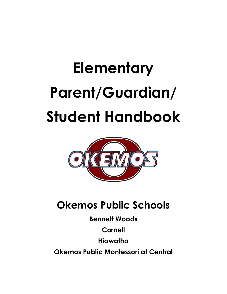# **Elementary Parent/Guardian/ Student Handbook**



# **Okemos Public Schools**

**Bennett Woods**

**Cornell**

**Hiawatha**

**Okemos Public Montessori at Central**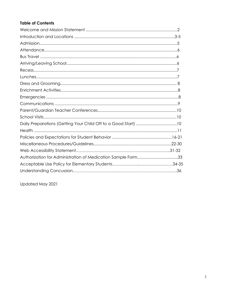# **Table of Contents**

| Authorization for Administration of Medication Sample Form33 |  |
|--------------------------------------------------------------|--|
|                                                              |  |
|                                                              |  |

Updated May 2021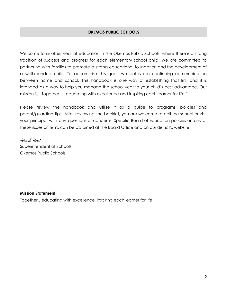# **OKEMOS PUBLIC SCHOOLS**

Welcome to another year of education in the Okemos Public Schools, where there is a strong tradition of success and progress for each elementary school child. We are committed to partnering with families to promote a strong educational foundation and the development of a well-rounded child. To accomplish this goal, we believe in continuing communication between home and school. This handbook is one way of establishing that link and it is intended as a way to help you manage the school year to your child's best advantage. Our mission is, "Together. . . educating with excellence and inspiring each learner for life."

Please review the handbook and utilize it as a guide to programs, policies and parent/guardian tips. After reviewing the booklet, you are welcome to call the school or visit your principal with any questions or concerns. Specific Board of Education policies on any of these issues or items can be obtained at the Board Office and on our district's website.

John J. Hood Superintendent of Schools Okemos Public Schools

#### **Mission Statement**

Together…educating with excellence, inspiring each learner for life.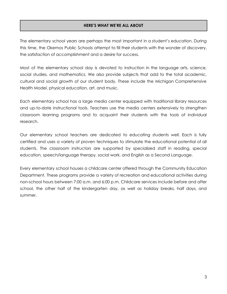# **HERE'S WHAT WE'RE ALL ABOUT**

The elementary school years are perhaps the most important in a student's education. During this time, the Okemos Public Schools attempt to fill their students with the wonder of discovery, the satisfaction of accomplishment and a desire for success.

Most of the elementary school day is devoted to instruction in the language arts, science, social studies, and mathematics. We also provide subjects that add to the total academic, cultural and social growth of our student body. These include the Michigan Comprehensive Health Model, physical education, art, and music.

Each elementary school has a large media center equipped with traditional library resources and up-to-date instructional tools. Teachers use the media centers extensively to strengthen classroom learning programs and to acquaint their students with the tools of individual research.

Our elementary school teachers are dedicated to educating students well. Each is fully certified and uses a variety of proven techniques to stimulate the educational potential of all students. The classroom instructors are supported by specialized staff in reading, special education, speech/language therapy, social work, and English as a Second Language.

Every elementary school houses a childcare center offered through the Community Education Department. These programs provide a variety of recreation and educational activities during non-school hours between 7:00 a.m. and 6:00 p.m. Childcare services include before and after school, the other half of the kindergarten day, as well as holiday breaks, half days, and summer.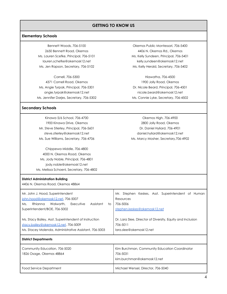#### **Elementary Schools**

Bennett Woods, 706-5100 2650 Bennett Road, Okemos Ms. Lauren Scefke, Principal, 706-5101 lauren.schefke@okemosk12.net Ms. Jen Rapson, Secretary, 706-5102

Cornell, 706-5300 4371 Cornell Road, Okemos Ms. Angie Tyrpak, Principal, 706-5301 angie.tyrpak@okemosk12.net Ms. Jennifer Darjes, Secretary, 706-5302

#### **Secondary Schools**

Kinawa 5/6 School, 706-4700 1900 Kinawa Drive, Okemos Mr. Steve Stierley, Principal, 706-5601 steve.stierley@okemosk12.net Ms. Sue Williams, Secretary, 706-4706

Chippewa Middle, 706-4800 4000 N. Okemos Road, Okemos Ms. Jody Noble, Principal, 706-4801 jody.noble@okemosk12.net Ms. Melissa Schoenl, Secretary, 706-4802

Okemos Public Montessori, 706-5400 4406 N. Okemos Rd., Okemos Ms. Kelly Sundeen, Principal, 706-5401 kelly.sundeen@okemosk12.net Ms. Kelly Herald, Secretary, 706-5402

Hiawatha, 706-4500 1900 Jolly Road, Okemos Dr. Nicole Beard, Principal, 706-4501 nicole.beard@okemosk12.net Ms. Connie Lyke, Secretary, 706-4502

Okemos High, 706-4900 2800 Jolly Road, Okemos Dr. Daniel Hyliard, 706-4901 daniel.hyliard@okemosk12.net Ms. Marcy Mosher, Secretary,706-4902

#### **District Administration Building**

4406 N. Okemos Road, Okemos 48864

| Mr. John J. Hood, Superintendent<br>john.hood@okemosk12.net, 706-5007<br>Rhianna<br>Assistant<br>Walworth.<br>Executive<br>Ms.<br>to<br>Superintendent/BOE, 706-5002 | Mr. Stephen Keskes, Asst. Superintendent of Human<br>Resources<br>706-5006<br>stephen.keskes@okemosk12.net |
|----------------------------------------------------------------------------------------------------------------------------------------------------------------------|------------------------------------------------------------------------------------------------------------|
| Ms. Stacy Bailey, Asst. Superintendent of Instruction<br>stacy.bailey@okemosk12.net, 706-5009<br>Ms. Stacey Molenda, Administrative Assistant, 706-5003              | Dr. Lara Slee, Director of Diversity, Equity and Inclusion<br>706-5011<br>lara.slee@okemosk12.net          |
| <b>District Departments</b>                                                                                                                                          |                                                                                                            |
| Community Education, 706-5020<br>1826 Osage, Okemos 48864                                                                                                            | Kim Burchman, Community Education Coordinator<br>706-5031<br>kim.burchman@okemosk12.net                    |
| Food Service Department                                                                                                                                              | Michael Wensel, Director, 706-5040                                                                         |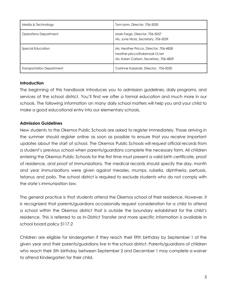| Media & Technology               | Tom Isom, Director, 706-5030                                                                                     |
|----------------------------------|------------------------------------------------------------------------------------------------------------------|
| <b>Operations Department</b>     | Mark Fargo, Director, 706-5057<br>Ms. June Hicks, Secretary, 706-5039                                            |
| Special Education                | Ms. Heather Pricco, Director, 706-4828<br>heather.pricco@okemosk12.net<br>Ms. Karen Carlson, Secretary, 706-4829 |
| <b>Transportation Department</b> | Corrinne Karpinski, Director, 706-5050                                                                           |

#### **Introduction**

The beginning of this handbook introduces you to admission guidelines, daily programs, and services of the school district. You'll find we offer a formal education and much more in our schools. The following information on many daily school matters will help you and your child to make a good educational entry into our elementary schools.

# **Admission Guidelines**

New students to the Okemos Public Schools are asked to register immediately. Those arriving in the summer should register online as soon as possible to ensure that you receive important updates about the start of school. The Okemos Public Schools will request official records from a student's previous school when parents/guardians complete the necessary form. All children entering the Okemos Public Schools for the first time must present a valid birth certificate, proof of residence, and proof of immunizations. The medical records should specify the day, month and year immunizations were given against measles, mumps, rubella, diphtheria, pertussis, tetanus and polio. The school district is required to exclude students who do not comply with the state's immunization law.

The general practice is that students attend the Okemos school of their residence. However, it is recognized that parents/guardians occasionally request consideration for a child to attend a school within the Okemos district that is outside the boundary established for the child's residence. This is referred to as In-District Transfer and more specific information is available in school board policy 5117.2

Children are eligible for kindergarten if they reach their fifth birthday by September 1 of the given year and their parents/guardians live in the school district. Parents/guardians of children who reach their 5th birthday between September 2 and December 1 may complete a waiver to attend Kindergarten for their child.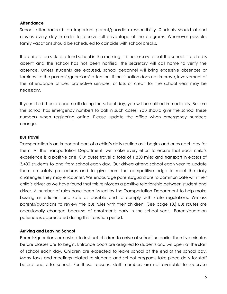#### **Attendance**

School attendance is an important parent/guardian responsibility. Students should attend classes every day in order to receive full advantage of the programs. Whenever possible, family vacations should be scheduled to coincide with school breaks.

If a child is too sick to attend school in the morning, it is necessary to call the school. If a child is absent and the school has not been notified, the secretary will call home to verify the absence. Unless students are excused, school personnel will bring excessive absences or tardiness to the parents'/guardians' attention. If the situation does not improve, involvement of the attendance officer, protective services, or loss of credit for the school year may be necessary.

If your child should become ill during the school day, you will be notified immediately. Be sure the school has emergency numbers to call in such cases. You should give the school these numbers when registering online. Please update the office when emergency numbers change.

#### **Bus Travel**

Transportation is an important part of a child's daily routine as it begins and ends each day for them. At the Transportation Department, we make every effort to ensure that each child's experience is a positive one. Our buses travel a total of 1,830 miles and transport in excess of 3,400 students to and from school each day. Our drivers attend school each year to update them on safety procedures and to give them the competitive edge to meet the daily challenges they may encounter. We encourage parents/guardians to communicate with their child's driver as we have found that this reinforces a positive relationship between student and driver. A number of rules have been issued by the Transportation Department to help make bussing as efficient and safe as possible and to comply with state regulations. We ask parents/guardians to review the bus rules with their children. (See page 13.) Bus routes are occasionally changed because of enrollments early in the school year. Parent/guardian patience is appreciated during this transition period.

#### **Arriving and Leaving School**

Parents/guardians are asked to instruct children to arrive at school no earlier than five minutes before classes are to begin. Entrance doors are assigned to students and will open at the start of school each day. Children are expected to leave school at the end of the school day. Many tasks and meetings related to students and school programs take place daily for staff before and after school. For these reasons, staff members are not available to supervise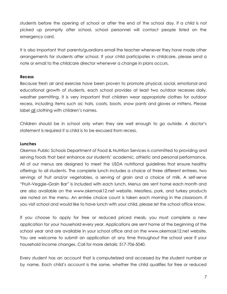students before the opening of school or after the end of the school day. If a child is not picked up promptly after school, school personnel will contact people listed on the emergency card.

It is also important that parents/guardians email the teacher whenever they have made other arrangements for students after school. If your child participates in childcare, please send a note or email to the childcare director whenever a change in plans occurs.

#### **Recess**

Because fresh air and exercise have been proven to promote physical, social, emotional and educational growth of students, each school provides at least two outdoor recesses daily, weather permitting. It is very important that children wear appropriate clothes for outdoor recess, including items such as: hats, coats, boots, snow pants and gloves or mittens. Please label all clothing with children's names.

Children should be in school only when they are well enough to go outside. A doctor's statement is required if a child is to be excused from recess.

#### **Lunches**

Okemos Public Schools Department of Food & Nutrition Services is committed to providing and serving foods that best enhance our students' academic, athletic and personal performance. All of our menus are designed to meet the USDA nutritional guidelines that ensure healthy offerings to all students. The complete lunch includes a choice of three different entrees, two servings of fruit and/or vegetables, a serving of grain and a choice of milk. A self-serve "Fruit–Veggie–Grain Bar" is included with each lunch. Menus are sent home each month and are also available on the www.okemosk12.net website. Meatless, pork, and turkey products are noted on the menu. An entrée choice count is taken each morning in the classroom. If you visit school and would like to have lunch with your child, please let the school office know.

If you choose to apply for free or reduced priced meals, you must complete a new application for your household every year. Applications are sent home at the beginning of the school year and are available in your school office and on the www.okemosk12.net website. You are welcome to submit an application at any time throughout the school year if your household income changes. Call for more details: 517-706-5040.

Every student has an account that is computerized and accessed by the student number or by name. Each child's account is the same, whether the child qualifies for free or reduced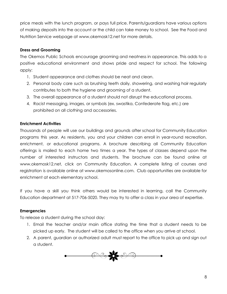price meals with the lunch program, or pays full price. Parents/guardians have various options of making deposits into the account or the child can take money to school. See the Food and Nutrition Service webpage at www.okemosk12.net for more details.

# **Dress and Grooming**

The Okemos Public Schools encourage grooming and neatness in appearance. This adds to a positive educational environment and shows pride and respect for school. The following apply:

- 1. Student appearance and clothes should be neat and clean.
- 2. Personal body care such as brushing teeth daily, showering, and washing hair regularly contributes to both the hygiene and grooming of a student.
- 3. The overall appearance of a student should not disrupt the educational process.
- 4. Racist messaging, images, or symbols (ex. swastika, Confederate flag, etc.) are prohibited on all clothing and accessories.

# **Enrichment Activities**

Thousands of people will use our buildings and grounds after school for Community Education programs this year. As residents, you and your children can enroll in year-round recreation, enrichment, or educational programs. A brochure describing all Community Education offerings is mailed to each home two times a year. The types of classes depend upon the number of interested instructors and students. The brochure can be found online at www.okemosk12.net, click on Community Education. A complete listing of courses and registration is available online at www.okemosonline.com. Club opportunities are available for enrichment at each elementary school.

If you have a skill you think others would be interested in learning, call the Community Education department at 517-706-5020. They may try to offer a class in your area of expertise.

# **Emergencies**

To release a student during the school day:

- 1. Email the teacher and/or main office stating the time that a student needs to be picked up early. The student will be called to the office when you arrive at school.
- 2. A parent, guardian or authorized adult must report to the office to pick up and sign out a student.

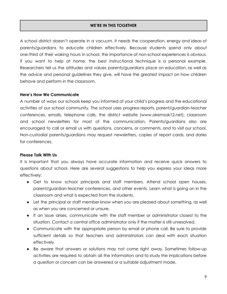# **WE'RE IN THIS TOGETHER**

A school district doesn't operate in a vacuum. It needs the cooperation, energy and ideas of parents/guardians to educate children effectively. Because students spend only about one-third of their waking hours in school, the importance of non-school experiences is obvious. If you want to help at home, the best instructional technique is a personal example. Researchers tell us the attitudes and values parents/guardians place on education, as well as the advice and personal guidelines they give, will have the greatest impact on how children behave and perform in the classroom.

#### **Here's How We Communicate**

A number of ways our schools keep you informed of your child's progress and the educational activities of our school community. The school uses progress reports, parent/guardian-teacher conferences, emails, telephone calls, the district website (www.okemosk12.net), classroom and school newsletters for most of the communication. Parents/guardians also are encouraged to call or email us with questions, concerns, or comments, and to visit our school. Non-custodial parents/guardians may request newsletters, copies of report cards, and dates for conferences.

#### **Please Talk With Us**

It is important that you always have accurate information and receive quick answers to questions about school. Here are several suggestions to help you express your ideas more effectively:

- Get to know school principals and staff members. Attend school open houses, parent/guardian-teacher conferences, and other events. Learn what is going on in the classroom and what is expected from the students.
- Let the principal or staff member know when you are pleased about something, as well as when you are concerned or unsure.
- If an issue arises, communicate with the staff member or administrator closest to the situation. Contact a central office administrator only if the matter is still unresolved.
- Communicate with the appropriate person by email or phone call. Be sure to provide sufficient details so that teachers and administrators can deal with each situation effectively.
- Be aware that answers or solutions may not come right away. Sometimes follow-up activities are required to obtain all the information and to study the implications before a question or concern can be answered or a suitable adjustment made.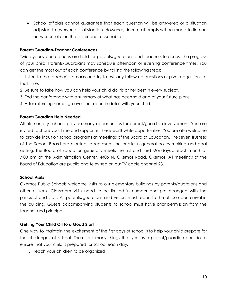• School officials cannot quarantee that each question will be answered or a situation adjusted to everyone's satisfaction. However, sincere attempts will be made to find an answer or solution that is fair and reasonable.

# **Parent/Guardian-Teacher Conferences**

Twice-yearly conferences are held for parents/guardians and teachers to discuss the progress of your child. Parents/Guardians may schedule afternoon or evening conference times. You can get the most out of each conference by taking the following steps:

1. Listen to the teacher's remarks and try to ask any follow-up questions or give suggestions at that time.

2. Be sure to take how you can help your child do his or her best in every subject.

3. End the conference with a summary of what has been said and of your future plans.

4. After returning home, go over the report in detail with your child.

# **Parent/Guardian Help Needed**

All elementary schools provide many opportunities for parent/guardian involvement. You are invited to share your time and support in these worthwhile opportunities. You are also welcome to provide input on school programs at meetings of the Board of Education. The seven trustees of the School Board are elected to represent the public in general policy-making and goal setting. The Board of Education generally meets the first and third Mondays of each month at 7:00 pm at the Administration Center, 4406 N. Okemos Road, Okemos. All meetings of the Board of Education are public and televised on our TV cable channel 23.

#### **School Visits**

Okemos Public Schools welcome visits to our elementary buildings by parents/guardians and other citizens. Classroom visits need to be limited in number and pre arranged with the principal and staff. All parents/guardians and visitors must report to the office upon arrival in the building. Guests accompanying students to school must have prior permission from the teacher and principal.

# **Getting Your Child Off to a Good Start**

One way to maintain the excitement of the first days of school is to help your child prepare for the challenges of school. There are many things that you as a parent/guardian can do to ensure that your child is prepared for school each day.

1. Teach your children to be organized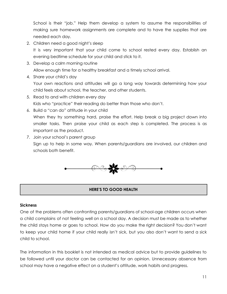School is their "job." Help them develop a system to assume the responsibilities of making sure homework assignments are complete and to have the supplies that are needed each day.

2. Children need a good night's sleep

It is very important that your child come to school rested every day. Establish an evening bedtime schedule for your child and stick to it.

- 3. Develop a calm morning routine Allow enough time for a healthy breakfast and a timely school arrival.
- 4. Share your child's day

Your own reactions and attitudes will go a long way towards determining how your child feels about school, the teacher, and other students.

- 5. Read to and with children every day Kids who "practice" their reading do better than those who don't.
- 6. Build a "can do" attitude in your child When they try something hard, praise the effort. Help break a big project down into smaller tasks. Then praise your child as each step is completed. The process is as important as the product.
- 7. Join your school's parent group Sign up to help in some way. When parents/guardians are involved, our children and schools both benefit.



# **HERE'S TO GOOD HEALTH**

#### **Sickness**

One of the problems often confronting parents/guardians of school-age children occurs when a child complains of not feeling well on a school day. A decision must be made as to whether the child stays home or goes to school. How do you make the right decision? You don't want to keep your child home if your child really isn't sick, but you also don't want to send a sick child to school.

The information in this booklet is not intended as medical advice but to provide guidelines to be followed until your doctor can be contacted for an opinion. Unnecessary absence from school may have a negative effect on a student's attitude, work habits and progress.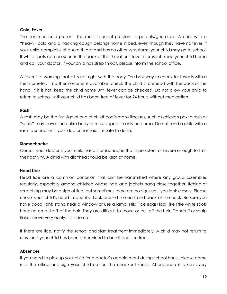#### **Cold, Fever**

The common cold presents the most frequent problem to parents/guardians. A child with a "heavy" cold and a hacking cough belongs home in bed, even though they have no fever. If your child complains of a sore throat and has no other symptoms, your child may go to school. If white spots can be seen in the back of the throat or if fever is present, keep your child home and call your doctor. If your child has strep throat, please inform the school office.

A fever is a warning that all is not right with the body. The best way to check for fever is with a thermometer. If no thermometer is available, check the child's forehead with the back of the hand. If it is hot, keep the child home until fever can be checked. Do not allow your child to return to school until your child has been free of fever for 24 hours without medication.

#### **Rash**

A rash may be the first sign of one of childhood's many illnesses, such as chicken pox; a rash or "spots" may cover the entire body or may appear in only one area. Do not send a child with a rash to school until your doctor has said it is safe to do so.

# **Stomachache**

Consult your doctor if your child has a stomachache that is persistent or severe enough to limit their activity. A child with diarrhea should be kept at home.

# **Head Lice**

Head lice are a common condition that can be transmitted where any group assembles regularly, especially among children whose hats and jackets hang close together. Itching or scratching may be a sign of lice, but sometimes there are no signs until you look closely. Please check your child's head frequently. Look around the ears and back of the neck. Be sure you have good light; stand near a window or use a lamp. Nits (lice eggs) look like little white spots hanging on a shaft of the hair. They are difficult to move or pull off the hair. Dandruff or scalp flakes move very easily. Nits do not.

If there are lice, notify the school and start treatment immediately. A child may not return to class until your child has been determined to be nit and lice free.

#### **Absences**

If you need to pick up your child for a doctor's appointment during school hours, please come into the office and sign your child out on the checkout sheet. Attendance is taken every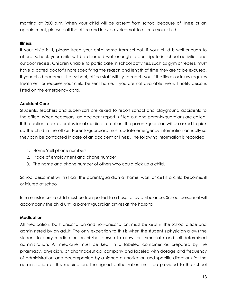morning at 9:00 a.m. When your child will be absent from school because of illness or an appointment, please call the office and leave a voicemail to excuse your child.

#### **Illness**

If your child is ill, please keep your child home from school. If your child is well enough to attend school, your child will be deemed well enough to participate in school activities and outdoor recess. Children unable to participate in school activities, such as gym or recess, must have a dated doctor's note specifying the reason and length of time they are to be excused. If your child becomes ill at school, office staff will try to reach you if the illness or injury requires treatment or requires your child be sent home. If you are not available, we will notify persons listed on the emergency card.

# **Accident Care**

Students, teachers and supervisors are asked to report school and playground accidents to the office. When necessary, an accident report is filled out and parents/guardians are called. If the action requires professional medical attention, the parent/guardian will be asked to pick up the child in the office. Parents/guardians must update emergency information annually so they can be contacted in case of an accident or illness. The following information is recorded.

- 1. Home/cell phone numbers
- 2. Place of employment and phone number
- 3. The name and phone number of others who could pick up a child.

School personnel will first call the parent/guardian at home, work or cell if a child becomes ill or injured at school.

In rare instances a child must be transported to a hospital by ambulance. School personnel will accompany the child until a parent/guardian arrives at the hospital.

#### **Medication**

All medication, both prescription and non-prescription, must be kept in the school office and administered by an adult. The only exception to this is when the student's physician allows the student to carry medication on his/her person to allow for immediate and self-determined administration. All medicine must be kept in a labeled container as prepared by the pharmacy, physician, or pharmaceutical company and labeled with dosage and frequency of administration and accompanied by a signed authorization and specific directions for the administration of this medication. The signed authorization must be provided to the school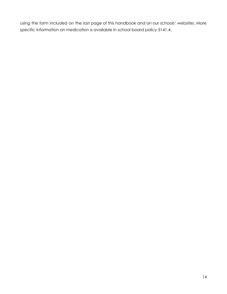using the form included on the last page of this handbook and on our schools' websites. More specific information on medication is available in school board policy 5141.4.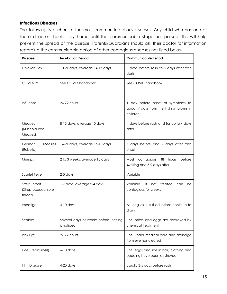# **Infectious Diseases**

The following is a chart of the most common infectious diseases. Any child who has one of these diseases should stay home until the communicable stage has passed. This will help prevent the spread of the disease. Parents/Guardians should ask their doctor for information regarding the communicable period of other contagious diseases not listed below.

| <b>Disease</b>                                        | <b>Incubation Period</b>                             | <b>Communicable Period</b>                                                               |
|-------------------------------------------------------|------------------------------------------------------|------------------------------------------------------------------------------------------|
| Chicken Pox                                           | 10-21 days, average 14-16 days                       | 5 days before rash to 5 days after rash<br>starts                                        |
| COVID-19                                              | See COVID handbook                                   | See COVID handbook                                                                       |
| Influenza                                             | 24-72 hours                                          | 1 day before onset of symptoms to<br>about 7 days from the first symptoms in<br>children |
| Measles<br>(Rubeola-Red<br>Measles)                   | 8-13 days, average 10 days                           | 4 days before rash and for up to 4 days<br>after                                         |
| Measles<br>German<br>(Rubella)                        | 14-21 days, average 16-18 days                       | 7 days before and 7 days after rash<br>onset                                             |
| Mumps                                                 | 2 to 3 weeks, average 18 days                        | Most contagious 48 hours<br>before<br>swelling and 5-9 days after                        |
| <b>Scarlet Fever</b>                                  | $2-5$ days                                           | Variable                                                                                 |
| <b>Strep Throat</b><br>(Streptococcal sore<br>throat) | 1-7 days, average 2-4 days                           | Variable.<br>If not treated<br>can<br>be<br>contagious for weeks                         |
| Impetigo                                              | $4-10$ days                                          | As long as pus filled lesions continue to<br>drain                                       |
| Scabies                                               | Several days or weeks before itching  <br>is noticed | Until mites and eggs are destroyed by<br>chemical treatment                              |
| Pink Eye                                              | 27-72 hours                                          | Until under medical care and drainage<br>from eye has cleared                            |
| Lice (Pediculosis)                                    | 6-10 days                                            | Until eggs and lice in hair, clothing and<br>bedding have been destroyed                 |
| <b>Fifth Disease</b>                                  | 4-20 days                                            | Usually 3-5 days before rash                                                             |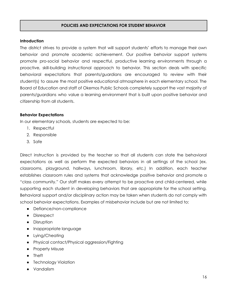# **POLICIES AND EXPECTATIONS FOR STUDENT BEHAVIOR**

#### **Introduction**

The district strives to provide a system that will support students' efforts to manage their own behavior and promote academic achievement. Our positive behavior support systems promote pro-social behavior and respectful, productive learning environments through a proactive, skill-building instructional approach to behavior. This section deals with specific behavioral expectations that parents/guardians are encouraged to review with their student(s) to assure the most positive educational atmosphere in each elementary school. The Board of Education and staff of Okemos Public Schools completely support the vast majority of parents/guardians who value a learning environment that is built upon positive behavior and citizenship from all students.

#### **Behavior Expectations**

In our elementary schools, students are expected to be:

- 1. Respectful
- 2. Responsible
- 3. Safe

Direct instruction is provided by the teacher so that all students can state the behavioral expectations as well as perform the expected behaviors in all settings of the school (ex. classrooms, playground, hallways, lunchroom, library, etc.) In addition, each teacher establishes classroom rules and systems that acknowledge positive behavior and promote a "class community." Our staff makes every attempt to be proactive and child-centered, while supporting each student in developing behaviors that are appropriate for the school setting. Behavioral support and/or disciplinary action may be taken when students do not comply with school behavior expectations. Examples of misbehavior include but are not limited to:

- Defiance/non-compliance
- Disrespect
- Disruption
- Inappropriate language
- Lying/Cheating
- Physical contact/Physical aggression/Fighting
- Property Misuse
- Theft
- Technology Violation
- Vandalism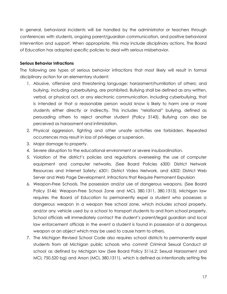In general, behavioral incidents will be handled by the administrator or teachers through conferences with students, ongoing parent/guardian communication, and positive behavioral intervention and support. When appropriate, this may include disciplinary actions. The Board of Education has adopted specific policies to deal with serious misbehavior.

#### **Serious Behavior Infractions**

The following are types of serious behavior infractions that most likely will result in formal disciplinary action for an elementary student:

- 1. Abusive, offensive and threatening language; harassment/humiliation of others; and bullying, including cyberbullying, are prohibited. Bullying shall be defined as any written, verbal, or physical act, or any electronic communication, including cyberbullying, that is intended or that a reasonable person would know is likely to harm one or more students either directly or indirectly. This includes "relational" bullying, defined as persuading others to reject another student (Policy 5143). Bullying can also be perceived as harassment and intimidation.
- 2. Physical aggression, fighting and other unsafe activities are forbidden. Repeated occurrences may result in loss of privileges or suspension.
- 3. Major damage to property.
- 4. Severe disruption to the educational environment or severe insubordination.
- 5. Violation of the district's policies and regulations overseeing the use of computer equipment and computer networks. (See Board Policies 6300: District Network Resources and Internet Safety; 6301: District Video Network, and 6302: District Web Server and Web Page Development. Infractions that Require Permanent Expulsion
- 6. Weapon-Free Schools. The possession and/or use of dangerous weapons. (See Board Policy 5146: Weapon-Free School Zone and MCL 380.1311, 380.1313). Michigan law requires the Board of Education to permanently expel a student who possesses a dangerous weapon in a weapon free school zone, which includes school property, and/or any vehicle used by a school to transport students to and from school property. School officials will immediately contact the student's parent/legal guardian and local law enforcement officials in the event a student is found in possession of a dangerous weapon or an object which may be used to cause harm to others.
- 7. The Michigan Revised School Code also requires school districts to permanently expel students from all Michigan public schools who commit Criminal Sexual Conduct at school as defined by Michigan law (See Board Policy 5116.2: Sexual Harassment and MCL 750.520 bg) and Arson (MCL 380.1311), which is defined as intentionally setting fire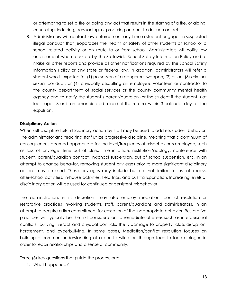or attempting to set a fire or doing any act that results in the starting of a fire, or aiding, counseling, inducing, persuading, or procuring another to do such an act.

8. Administrators will contact law enforcement any time a student engages in suspected illegal conduct that jeopardizes the health or safety of other students at school or a school related activity or en route to or from school. Administrators will notify law enforcement when required by the Statewide School Safety Information Policy and to make all other reports and provide all other notifications required by the School Safety Information Policy or any state or federal law. In addition, administrators will refer a student who is expelled for (1) possession of a dangerous weapon; (2) arson; (3) criminal sexual conduct; or (4) physically assaulting an employee, volunteer, or contractor to the county department of social services or the county community mental health agency and to notify the student's parent/guardian (or the student if the student is at least age 18 or is an emancipated minor) of the referral within 3 calendar days of the expulsion.

#### **Disciplinary Action**

When self-discipline fails, disciplinary action by staff may be used to address student behavior. The administrator and teaching staff utilize progressive discipline, meaning that a continuum of consequences deemed appropriate for the level/frequency of misbehavior is employed, such as loss of privilege, time out of class, time in office, restitution/apology, conference with student, parent/guardian contact, in-school suspension, out of school suspension, etc. In an attempt to change behavior, removing student privileges prior to more significant disciplinary actions may be used. These privileges may include but are not limited to loss of: recess, after-school activities, in-house activities, field trips, and bus transportation. Increasing levels of disciplinary action will be used for continued or persistent misbehavior.

The administration, in its discretion, may also employ mediation, conflict resolution or restorative practices involving students, staff, parent/guardians and administrators, in an attempt to acquire a firm commitment for cessation of the inappropriate behavior. Restorative practices will typically be the first consideration to remediate offenses such as interpersonal conflicts, bullying, verbal and physical conflicts, theft, damage to property, class disruption, harassment, and cyberbullying. In some cases, Mediation/conflict resolution focuses on building a common understanding of a conflict/situation through face to face dialogue in order to repair relationships and a sense of community.

Three (3) key questions that guide the process are:

1. What happened?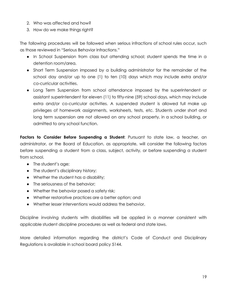- 2. Who was affected and how?
- 3. How do we make things right?

The following procedures will be followed when serious infractions of school rules occur, such as those reviewed in "Serious Behavior Infractions."

- In School Suspension from class but attending school; student spends the time in a detention room/area.
- Short Term Suspension imposed by a building administrator for the remainder of the school day and/or up to one (1) to ten (10) days which may include extra and/or co-curricular activities.
- Long Term Suspension from school attendance imposed by the superintendent or assistant superintendent for eleven (11) to fifty-nine (59) school days, which may include extra and/or co-curricular activities. A suspended student is allowed full make up privileges of homework assignments, worksheets, tests, etc. Students under short and long term suspension are not allowed on any school property, in a school building, or admitted to any school function.

**Factors to Consider Before Suspending a Student**: Pursuant to state law, a teacher, an administrator, or the Board of Education, as appropriate, will consider the following factors before suspending a student from a class, subject, activity, or before suspending a student from school.

- The student's age;
- The student's disciplinary history;
- Whether the student has a disability;
- The seriousness of the behavior;
- Whether the behavior posed a safety risk;
- Whether restorative practices are a better option; and
- Whether lesser interventions would address the behavior.

Discipline involving students with disabilities will be applied in a manner consistent with applicable student discipline procedures as well as federal and state laws.

More detailed information regarding the district's Code of Conduct and Disciplinary Regulations is available in school board policy 5144.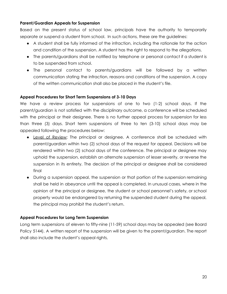# **Parent/Guardian Appeals for Suspension**

Based on the present status of school law, principals have the authority to temporarily separate or suspend a student from school. In such actions, these are the guidelines:

- A student shall be fully informed of the infraction, including the rationale for the action and condition of the suspension. A student has the right to respond to the allegations.
- The parents/guardians shall be notified by telephone or personal contact if a student is to be suspended from school.
- The personal contact to parents/guardians will be followed by a written communication stating the infraction, reasons and conditions of the suspension. A copy of the written communication shall also be placed in the student's file.

#### **Appeal Procedures for Short Term Suspensions of 3-10 Days**

We have a review process for suspensions of one to two (1-2) school days. If the parent/guardian is not satisfied with the disciplinary outcome, a conference will be scheduled with the principal or their designee. There is no further appeal process for suspension for less than three (3) days. Short term suspensions of three to ten (3-10) school days may be appealed following the procedures below:

- Level of Review: The principal or designee. A conference shall be scheduled with parent/guardian within two (2) school days of the request for appeal. Decisions will be rendered within two (2) school days of the conference. The principal or designee may uphold the suspension, establish an alternate suspension of lesser severity, or reverse the suspension in its entirety. The decision of the principal or designee shall be considered final
- During a suspension appeal, the suspension or that portion of the suspension remaining shall be held in abeyance until the appeal is completed. In unusual cases, where in the opinion of the principal or designee, the student or school personnel's safety, or school property would be endangered by returning the suspended student during the appeal, the principal may prohibit the student's return.

#### **Appeal Procedures for Long Term Suspension**

Long term suspensions of eleven to fifty-nine (11-59) school days may be appealed (see Board Policy 5144). A written report of the suspension will be given to the parent/guardian. The report shall also include the student's appeal rights.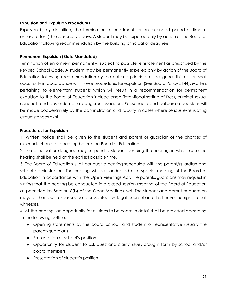# **Expulsion and Expulsion Procedures**

Expulsion is, by definition, the termination of enrollment for an extended period of time in excess of ten (10) consecutive days. A student may be expelled only by action of the Board of Education following recommendation by the building principal or designee.

#### **Permanent Expulsion (State Mandated)**

Termination of enrollment permanently, subject to possible reinstatement as prescribed by the Revised School Code. A student may be permanently expelled only by action of the Board of Education following recommendation by the building principal or designee. This action shall occur only in accordance with these procedures for expulsion (See Board Policy 5144). Matters pertaining to elementary students which will result in a recommendation for permanent expulsion to the Board of Education include arson (intentional setting of fires), criminal sexual conduct, and possession of a dangerous weapon. Reasonable and deliberate decisions will be made cooperatively by the administration and faculty in cases where serious extenuating circumstances exist.

#### **Procedures for Expulsion**

1. Written notice shall be given to the student and parent or guardian of the charges of misconduct and of a hearing before the Board of Education.

2. The principal or designee may suspend a student pending the hearing, in which case the hearing shall be held at the earliest possible time.

3. The Board of Education shall conduct a hearing scheduled with the parent/guardian and school administration. The hearing will be conducted as a special meeting of the Board of Education in accordance with the Open Meetings Act. The parents/guardians may request in writing that the hearing be conducted in a closed session meeting of the Board of Education as permitted by Section 8(b) of the Open Meetings Act. The student and parent or guardian may, at their own expense, be represented by legal counsel and shall have the right to call witnesses.

4. At the hearing, an opportunity for all sides to be heard in detail shall be provided according to the following outline:

- Opening statements by the board, school, and student or representative (usually the parent/guardian)
- Presentation of school's position
- Opportunity for student to ask questions, clarify issues brought forth by school and/or board members
- Presentation of student's position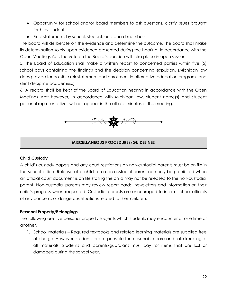- Opportunity for school and/or board members to ask questions, clarify issues brought forth by student
- Final statements by school, student, and board members

The board will deliberate on the evidence and determine the outcome. The board shall make its determination solely upon evidence presented during the hearing. In accordance with the Open Meetings Act, the vote on the Board's decision will take place in open session.

5. The Board of Education shall make a written report to concerned parties within five (5) school days containing the findings and the decision concerning expulsion. (Michigan law does provide for possible reinstatement and enrollment in alternative education programs and strict discipline academies.)

6. A record shall be kept of the Board of Education hearing in accordance with the Open Meetings Act; however, in accordance with Michigan law, student name(s) and student personal representatives will not appear in the official minutes of the meeting.



# **MISCELLANEOUS PROCEDURES/GUIDELINES**

#### **Child Custody**

A child's custody papers and any court restrictions on non-custodial parents must be on file in the school office. Release of a child to a non-custodial parent can only be prohibited when an official court document is on file stating the child may not be released to the non-custodial parent. Non-custodial parents may review report cards, newsletters and information on their child's progress when requested. Custodial parents are encouraged to inform school officials of any concerns or dangerous situations related to their children.

#### **Personal Property/Belongings**

The following are five personal property subjects which students may encounter at one time or another.

1. School materials – Required textbooks and related learning materials are supplied free of charge. However, students are responsible for reasonable care and safe-keeping of all materials. Students and parents/guardians must pay for items that are lost or damaged during the school year.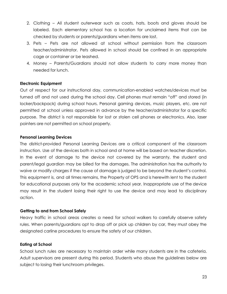- 2. Clothing All student outerwear such as coats, hats, boots and gloves should be labeled. Each elementary school has a location for unclaimed items that can be checked by students or parents/guardians when items are lost.
- 3. Pets Pets are not allowed at school without permission from the classroom teacher/administrator. Pets allowed in school should be confined in an appropriate cage or container or be leashed.
- 4. Money Parents/Guardians should not allow students to carry more money than needed for lunch.

#### **Electronic Equipment**

Out of respect for our instructional day, communication-enabled watches/devices must be turned off and not used during the school day. Cell phones must remain "off" and stored (in locker/backpack) during school hours. Personal gaming devices, music players, etc. are not permitted at school unless approved in advance by the teacher/administrator for a specific purpose. The district is not responsible for lost or stolen cell phones or electronics. Also, laser pointers are not permitted on school property.

#### **Personal Learning Devices**

The district-provided Personal Learning Devices are a critical component of the classroom instruction. Use of the devices both in school and at home will be based on teacher discretion. In the event of damage to the device not covered by the warranty, the student and parent/legal guardian may be billed for the damages. The administration has the authority to waive or modify charges if the cause of damage is judged to be beyond the student's control. This equipment is, and all times remains, the Property of OPS and is herewith lent to the student for educational purposes only for the academic school year. Inappropriate use of the device may result in the student losing their right to use the device and may lead to disciplinary action.

#### **Getting to and from School Safely**

Heavy traffic in school areas creates a need for school walkers to carefully observe safety rules. When parents/guardians opt to drop off or pick up children by car, they must obey the designated carline procedures to ensure the safety of our children.

#### **Eating at School**

School lunch rules are necessary to maintain order while many students are in the cafeteria. Adult supervisors are present during this period. Students who abuse the guidelines below are subject to losing their lunchroom privileges.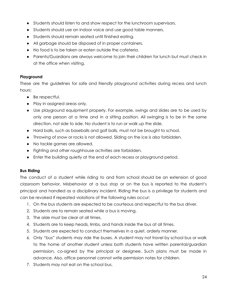- Students should listen to and show respect for the lunchroom supervisors.
- Students should use an indoor voice and use good table manners.
- Students should remain seated until finished eating.
- All garbage should be disposed of in proper containers.
- No food is to be taken or eaten outside the cafeteria.
- Parents/Guardians are always welcome to join their children for lunch but must check in at the office when visiting.

# **Playground**

These are the guidelines for safe and friendly playground activities during recess and lunch hours:

- Be respectful.
- Play in assigned areas only.
- Use playground equipment properly. For example, swings and slides are to be used by only one person at a time and in a sitting position. All swinging is to be in the same direction, not side to side. No student is to run or walk up the slide.
- Hard balls, such as baseballs and golf balls, must not be brought to school.
- Throwing of snow or rocks is not allowed. Sliding on the ice is also forbidden.
- No tackle games are allowed.
- Fighting and other roughhouse activities are forbidden.
- Enter the building quietly at the end of each recess or playground period.

#### **Bus Riding**

The conduct of a student while riding to and from school should be an extension of good classroom behavior. Misbehavior at a bus stop or on the bus is reported to the student's principal and handled as a disciplinary incident. Riding the bus is a privilege for students and can be revoked if repeated violations of the following rules occur:

- 1. On the bus students are expected to be courteous and respectful to the bus driver.
- 2. Students are to remain seated while a bus is moving.
- 3. The aisle must be clear at all times.
- 4. Students are to keep heads, limbs, and hands inside the bus at all times.
- 5. Students are expected to conduct themselves in a quiet, orderly manner.
- 6. Only "bus" students may ride the buses. A student may not travel by school bus or walk to the home of another student unless both students have written parental/guardian permission, co-signed by the principal or designee. Such plans must be made in advance. Also, office personnel cannot write permission notes for children.
- 7. Students may not eat on the school bus.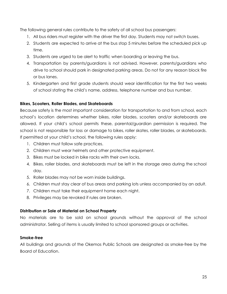The following general rules contribute to the safety of all school bus passengers:

- 1. All bus riders must register with the driver the first day. Students may not switch buses.
- 2. Students are expected to arrive at the bus stop 5 minutes before the scheduled pick up time.
- 3. Students are urged to be alert to traffic when boarding or leaving the bus.
- 4. Transportation by parents/guardians is not advised. However, parents/guardians who drive to school should park in designated parking areas. Do not for any reason block fire or bus lanes.
- 5. Kindergarten and first grade students should wear identification for the first two weeks of school stating the child's name, address, telephone number and bus number.

# **Bikes, Scooters, Roller Blades, and Skateboards**

Because safety is the most important consideration for transportation to and from school, each school's location determines whether bikes, roller blades, scooters and/or skateboards are allowed. If your child's school permits these, parental/guardian permission is required. The school is not responsible for loss or damage to bikes, roller skates, roller blades, or skateboards. If permitted at your child's school, the following rules apply:

- 1. Children must follow safe practices.
- 2. Children must wear helmets and other protective equipment.
- 3. Bikes must be locked in bike racks with their own locks.
- 4. Bikes, roller blades, and skateboards must be left in the storage area during the school day.
- 5. Roller blades may not be worn inside buildings.
- 6. Children must stay clear of bus areas and parking lots unless accompanied by an adult.
- 7. Children must take their equipment home each night.
- 8. Privileges may be revoked if rules are broken.

#### **Distribution or Sale of Material on School Property**

No materials are to be sold on school grounds without the approval of the school administrator. Selling of items is usually limited to school sponsored groups or activities.

#### **Smoke-free**

All buildings and grounds of the Okemos Public Schools are designated as smoke-free by the Board of Education.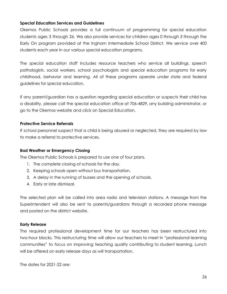#### **Special Education Services and Guidelines**

Okemos Public Schools provides a full continuum of programming for special education students ages 3 through 26. We also provide services for children ages 0 through 3 through the Early On program provided at the Ingham Intermediate School District. We service over 400 students each year in our various special education programs.

The special education staff includes resource teachers who service all buildings, speech pathologists, social workers, school psychologists and special education programs for early childhood, behavior and learning. All of these programs operate under state and federal guidelines for special education.

If any parent/guardian has a question regarding special education or suspects their child has a disability, please call the special education office at 706-4829, any building administrator, or go to the Okemos website and click on Special Education.

#### **Protective Service Referrals**

If school personnel suspect that a child is being abused or neglected, they are required by law to make a referral to protective services.

#### **Bad Weather or Emergency Closing**

The Okemos Public Schools is prepared to use one of four plans.

- 1. The complete closing of schools for the day.
- 2. Keeping schools open without bus transportation.
- 3. A delay in the running of busses and the opening of schools.
- 4. Early or late dismissal.

The selected plan will be called into area radio and television stations. A message from the Superintendent will also be sent to parents/guardians through a recorded phone message and posted on the district website.

#### **Early Release**

The required professional development time for our teachers has been restructured into two-hour blocks. This restructuring time will allow our teachers to meet in "professional learning communities" to focus on improving teaching quality contributing to student learning. Lunch will be offered on early release days as will transportation.

The dates for 2021-22 are: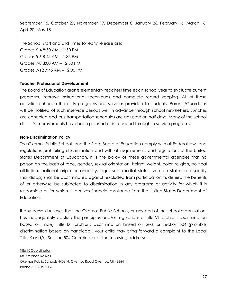September 15, October 20, November 17, December 8, January 26, February 16, March 16, April 20, May 18

The School Start and End Times for early release are: Grades K-4 8:50 AM – 1:50 PM Grades 5-6 8:45 AM – 1:35 PM Grades 7-8 8:00 AM – 12:50 PM Grades 9-12 7:45 AM – 12:35 PM

#### **Teacher Professional Development**

The Board of Education grants elementary teachers time each school year to evaluate current programs, improve instructional techniques and complete record keeping. All of these activities enhance the daily programs and services provided to students. Parents/Guardians will be notified of such inservice periods well in advance through school newsletters. Lunches are canceled and bus transportation schedules are adjusted on half days. Many of the school district's improvements have been planned or introduced through in-service programs.

#### **Non-Discrimination Policy**

The Okemos Public Schools and the State Board of Education comply with all Federal laws and regulations prohibiting discrimination and with all requirements and regulations of the United States Department of Education. It is the policy of these governmental agencies that no person on the basis of race, gender, sexual orientation, height, weight, color, religion, political affiliation, national origin or ancestry, age, sex, marital status, veteran status or disability (handicap) shall be discriminated against, excluded from participation in, denied the benefits of or otherwise be subjected to discrimination in any programs or activity for which it is responsible or for which it receives financial assistance from the United States Department of Education.

If any person believes that the Okemos Public Schools, or any part of the school organization, has inadequately applied the principles and/or regulations of Title VI (prohibits discrimination based on race), Title IX (prohibits discrimination based on sex), or Section 504 (prohibits discrimination based on handicap), your child may bring forward a complaint to the Local Title IX and/or Section 504 Coordinator at the following addresses:

Title IX Coordinator: Mr. Stephen Keskes Okemos Public Schools 4406 N. Okemos Road Okemos, MI 48864 Phone 517-706-5006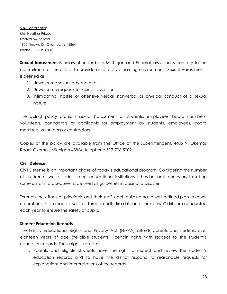504 Coordinator: Mrs. Heather Pricco Kinawa 5/6 School 1900 Kinawa Dr. Okemos, MI 48864 Phone 517-706-4700

**Sexual harassment** is unlawful under both Michigan and Federal laws and is contrary to the commitment of this district to provide an effective learning environment "Sexual Harassment" is defined as

- 1. Unwelcome sexual advances; or
- 2. Unwelcome requests for sexual favors; or
- 3. Intimidating, hostile or offensive verbal, nonverbal or physical conduct of a sexual nature.

The district policy prohibits sexual harassment of students, employees, board members, volunteers, contractors or applicants for employment by students, employees, board members, volunteers or contractors.

Copies of the policy are available from the Office of the Superintendent, 4406 N. Okemos Road, Okemos, Michigan 48864; telephone 517-706-5002

#### **Civil Defense**

Civil Defense is an important phase of today's educational program. Considering the number of children as well as adults in our educational institutions, it has become necessary to set up some uniform procedures to be used as guidelines in case of a disaster.

Through the efforts of principals and their staff, each building has a well-defined plan to cover natural and man-made disasters. Tornado drills, fire drills and "lock down" drills are conducted each year to ensure the safety of pupils.

#### **Student Education Records**

The Family Educational Rights and Privacy Act (FERPA) affords parents and students over eighteen years of age ("eligible students") certain rights with respect to the student's education records. These rights include:

1. Parents and eligible students have the right to inspect and review the student's education records and to have the district respond to reasonable requests for explanations and interpretations of the records.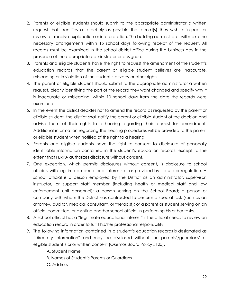- 2. Parents or eligible students should submit to the appropriate administrator a written request that identifies as precisely as possible the record(s) they wish to inspect or review, or receive explanation or interpretation. The building administrator will make the necessary arrangements within 15 school days following receipt of the request. All records must be examined in the school district office during the business day in the presence of the appropriate administrator or designee.
- 3. Parents and eligible students have the right to request the amendment of the student's education records that the parent or eligible student believes are inaccurate, misleading or in violation of the student's privacy or other rights.
- 4. The parent or eligible student should submit to the appropriate administrator a written request, clearly identifying the part of the record they want changed and specify why it is inaccurate or misleading, within 10 school days from the date the records were examined.
- 5. In the event the district decides not to amend the record as requested by the parent or eligible student, the district shall notify the parent or eligible student of the decision and advise them of their rights to a hearing regarding their request for amendment. Additional information regarding the hearing procedures will be provided to the parent or eligible student when notified of the right to a hearing.
- 6. Parents and eligible students have the right to consent to disclosure of personally identifiable information contained in the student's education records, except to the extent that FERPA authorizes disclosure without consent.
- 7. One exception, which permits disclosures without consent, is disclosure to school officials with legitimate educational interests or as provided by statute or regulation. A school official is a person employed by the District as an administrator, supervisor, instructor, or support staff member (including health or medical staff and law enforcement unit personnel); a person serving on the School Board; a person or company with whom the District has contracted to perform a special task (such as an attorney, auditor, medical consultant, or therapist); or a parent or student serving on an official committee, or assisting another school official in performing his or her tasks.
- 8. A school official has a "legitimate educational interest" if the official needs to review an education record in order to fulfill his/her professional responsibility.
- 9. The following information contained in a student's education records is designated as "directory information" and may be disclosed without the parents'/guardians' or eligible student's prior written consent (Okemos Board Policy 5125).
	- A. Student Name
	- B. Names of Student's Parents or Guardians
	- C. Address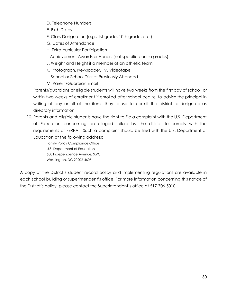- D. Telephone Numbers
- E. Birth Dates
- F. Class Designation (e.g., 1st grade, 10th grade, etc.)
- G. Dates of Attendance
- H. Extra-curricular Participation
- I. Achievement Awards or Honors (not specific course grades)
- J. Weight and Height if a member of an athletic team
- K. Photograph, Newspaper, TV, Videotape
- L. School or School District Previously Attended
- M. Parent/Guardian Email

Parents/guardians or eligible students will have two weeks from the first day of school, or within two weeks of enrollment if enrolled after school begins, to advise the principal in writing of any or all of the items they refuse to permit the district to designate as directory information.

10. Parents and eligible students have the right to file a complaint with the U.S. Department of Education concerning an alleged failure by the district to comply with the requirements of FERPA. Such a complaint should be filed with the U.S. Department of Education at the following address:

> Family Policy Compliance Office U.S. Department of Education 600 Independence Avenue, S.W. Washington, DC 20202-4605

A copy of the District's student record policy and implementing regulations are available in each school building or superintendent's office. For more information concerning this notice of the District's policy, please contact the Superintendent's office at 517-706-5010.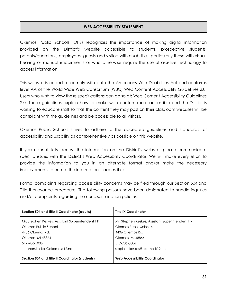# **WEB ACCESSIBILITY STATEMENT**

Okemos Public Schools (OPS) recognizes the importance of making digital information provided on the District's website accessible to students, prospective students, parents/guardians, employees, guests and visitors with disabilities, particularly those with visual, hearing or manual impairments or who otherwise require the use of assistive technology to access information.

This website is coded to comply with both the Americans With Disabilities Act and conforms level AA of the World Wide Web Consortium (W3C) Web Content Accessibility Guidelines 2.0. Users who wish to view these specifications can do so at: Web Content Accessibility Guidelines 2.0. These guidelines explain how to make web content more accessible and the District is working to educate staff so that the content they may post on their classroom websites will be compliant with the guidelines and be accessible to all visitors.

Okemos Public Schools strives to adhere to the accepted guidelines and standards for accessibility and usability as comprehensively as possible on this website.

If you cannot fully access the information on the District's website, please communicate specific issues with the District's Web Accessibility Coordinator. We will make every effort to provide the information to you in an alternate format and/or make the necessary improvements to ensure the information is accessible.

Formal complaints regarding accessibility concerns may be filed through our Section 504 and Title II grievance procedure. The following persons have been designated to handle inquiries and/or complaints regarding the nondiscrimination policies:

| Section 504 and Title II Coordinator (adults)                                                                                                                   | <b>Title IX Coordinator</b>                                                                                                                                     |
|-----------------------------------------------------------------------------------------------------------------------------------------------------------------|-----------------------------------------------------------------------------------------------------------------------------------------------------------------|
| Mr. Stephen Keskes, Assistant Superintendent HR<br>Okemos Public Schools<br>4406 Okemos Rd.<br>Okemos, MI 48864<br>517-706-5006<br>stephen.keskes@okemosk12.net | Mr. Stephen Keskes, Assistant Superintendent HR<br>Okemos Public Schools<br>4406 Okemos Rd.<br>Okemos, MI 48864<br>517-706-5006<br>stephen.keskes@okemosk12.net |
| Section 504 and Title II Coordinator (students)                                                                                                                 | <b>Web Accessibility Coordinator</b>                                                                                                                            |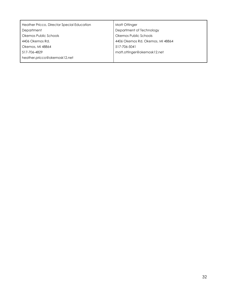| Heather Pricco, Director Special Education | Matt Ottinger                    |
|--------------------------------------------|----------------------------------|
| Department                                 | Department of Technology         |
| Okemos Public Schools                      | Okemos Public Schools            |
| 4406 Okemos Rd.                            | 4406 Okemos Rd. Okemos, MI 48864 |
| Okemos, MI 48864                           | 517-706-5041                     |
| 517-706-4829                               | matt.ottinger@okemosk12.net      |
| heather.pricco@okemosk12.net               |                                  |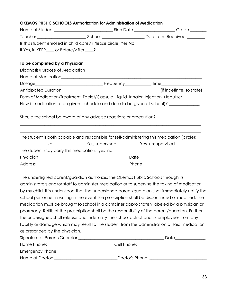#### **OKEMOS PUBLIC SCHOOLS Authorization for Administration of Medication**

|                                               | Is this student enrolled in child care? (Please circle) Yes No                 |                                                                                              |
|-----------------------------------------------|--------------------------------------------------------------------------------|----------------------------------------------------------------------------------------------|
| If Yes, in KEEP____ or Before/After ____?     |                                                                                |                                                                                              |
| To be completed by a Physician:               |                                                                                |                                                                                              |
|                                               |                                                                                |                                                                                              |
|                                               |                                                                                |                                                                                              |
|                                               |                                                                                |                                                                                              |
|                                               |                                                                                |                                                                                              |
|                                               | Form of Medication/Treatment Tablet/Capsule Liquid Inhaler Injection Nebulizer |                                                                                              |
|                                               |                                                                                | How is medication to be given (schedule and dose to be given at school)? ____________        |
|                                               | Should the school be aware of any adverse reactions or precaution?             |                                                                                              |
|                                               |                                                                                | The student is both capable and responsible for self-administering this medication (circle): |
| <b>No</b>                                     | Yes, supervised Yes, unsupervised                                              |                                                                                              |
| The student may carry this medication: yes no |                                                                                |                                                                                              |
|                                               |                                                                                |                                                                                              |
|                                               |                                                                                |                                                                                              |

The undersigned parent/guardian authorizes the Okemos Public Schools through its administrators and/or staff to administer medication or to supervise the taking of medication by my child. It is understood that the undersigned parent/guardian shall immediately notify the school personnel in writing in the event the proscription shall be discontinued or modified. The medication must be brought to school in a container appropriately labeled by a physician or pharmacy. Refills of the prescription shall be the responsibility of the parent/guardian. Further, the undersigned shall release and indemnify the school district and its employees from any liability or damage which may result to the student from the administration of said medication as prescribed by the physician.

| Signature of Parent/Guardian | Date            |
|------------------------------|-----------------|
| Home Phone:                  | Cell Phone:     |
| Emergency Phone:             |                 |
| Name of Doctor:              | Doctor's Phone: |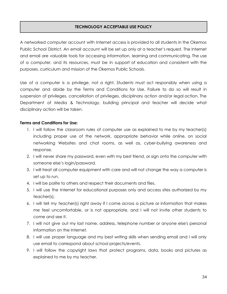# **TECHNOLOGY ACCEPTABLE USE POLICY**

A networked computer account with Internet access is provided to all students in the Okemos Public School District. An email account will be set up only at a teacher's request. The Internet and email are valuable tools for accessing information, learning and communicating. The use of a computer, and its resources, must be in support of education and consistent with the purposes, curriculum and mission of the Okemos Public Schools.

Use of a computer is a privilege, not a right. Students must act responsibly when using a computer and abide by the Terms and Conditions for Use. Failure to do so will result in suspension of privileges, cancellation of privileges, disciplinary action and/or legal action. The Department of Media & Technology, building principal and teacher will decide what disciplinary action will be taken.

#### **Terms and Conditions for Use:**

- 1. I will follow the classroom rules of computer use as explained to me by my teacher(s) including proper use of the network, appropriate behavior while online, on social networking Websites and chat rooms, as well as, cyber-bullying awareness and response.
- 2. I will never share my password, even with my best friend, or sign onto the computer with someone else's login/password.
- 3. I will treat all computer equipment with care and will not change the way a computer is set up to run.
- 4. I will be polite to others and respect their documents and files.
- 5. I will use the Internet for educational purposes only and access sites authorized by my teacher(s).
- 6. I will tell my teacher(s) right away if I come across a picture or information that makes me feel uncomfortable, or is not appropriate, and I will not invite other students to come and see it.
- 7. I will not give out my last name, address, telephone number or anyone else's personal information on the Internet.
- 8. I will use proper language and my best writing skills when sending email and I will only use email to correspond about school projects/events.
- 9. I will follow the copyright laws that protect programs, data, books and pictures as explained to me by my teacher.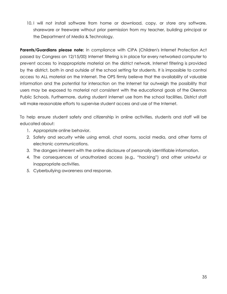10. I will not install software from home or download, copy, or store any software, shareware or freeware without prior permission from my teacher, building principal or the Department of Media & Technology.

**Parents/Guardians please note:** In compliance with CIPA (Children's Internet Protection Act passed by Congress on 12/15/00) Internet filtering is in place for every networked computer to prevent access to inappropriate material on the district network. Internet filtering is provided by the district, both in and outside of the school setting for students. It is impossible to control access to ALL material on the Internet. The OPS firmly believe that the availability of valuable information and the potential for interaction on the Internet far outweigh the possibility that users may be exposed to material not consistent with the educational goals of the Okemos Public Schools. Furthermore, during student Internet use from the school facilities, District staff will make reasonable efforts to supervise student access and use of the Internet.

To help ensure student safety and citizenship in online activities, students and staff will be educated about:

- 1. Appropriate online behavior.
- 2. Safety and security while using email, chat rooms, social media, and other forms of electronic communications.
- 3. The dangers inherent with the online disclosure of personally identifiable information.
- 4. The consequences of unauthorized access (e.g., "hacking") and other unlawful or inappropriate activities.
- 5. Cyberbullying awareness and response.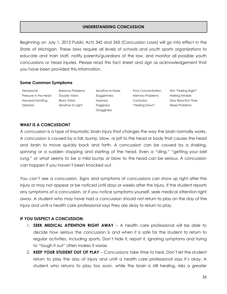# **UNDERSTANDING CONCUSSION**

Beginning on July 1, 2013 Public Acts 342 and 343 (Concussion Laws) will go into effect in the State of Michigan. These laws require all levels of schools and youth sports organizations to educate and train staff, notify parents/guardians of the law, and monitor all possible youth concussions or head injuries. Please read this fact sheet and sign as acknowledgement that you have been provided this information.

#### **Some Common Symptoms**

Headache Pressure in the Head Nausea/Vomiting **Dizziness** 

Balance Problems Double Vision Blurry Vision Sensitive to Light

Sensitive to Noise Sluggishness Haziness Fogginess **Grogginess** 

Poor Concentration Memory Problems Confusion "Feeling Down"

Not "Feeling Right" Feeling Irritable Slow Reaction Time Sleep Problems

#### **WHAT IS A CONCUSSION?**

A concussion is a type of traumatic brain injury that changes the way the brain normally works. A concussion is caused by a fall, bump, blow, or jolt to the head or body that causes the head and brain to move quickly back and forth. A concussion can be caused by a shaking, spinning or a sudden stopping and starting of the head. Even a "ding," "getting your bell rung," or what seems to be a mild bump or blow to the head can be serious. A concussion can happen if you haven't been knocked out.

You can't see a concussion. Signs and symptoms of concussions can show up right after the injury or may not appear or be noticed until days or weeks after the injury. If the student reports any symptoms of a concussion, or if you notice symptoms yourself, seek medical attention right away. A student who may have had a concussion should not return to play on the day of the injury and until a health care professional says they are okay to return to play.

#### **IF YOU SUSPECT A CONCUSSION:**

- 1. **SEEK MEDICAL ATTENTION RIGHT AWAY** A health care professional will be able to decide how serious the concussion is and when it is safe for the student to return to regular activities, including sports. Don't hide it, report it. Ignoring symptoms and trying to "tough it out" often makes it worse.
- 2. **KEEP YOUR STUDENT OUT OF PLAY** Concussions take time to heal. Don't let the student return to play the day of injury and until a health care professional says it's okay. A student who returns to play too soon, while the brain is still healing, risks a greater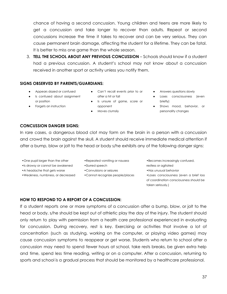chance of having a second concussion. Young children and teens are more likely to get a concussion and take longer to recover than adults. Repeat or second concussions increase the time it takes to recover and can be very serious. They can cause permanent brain damage, affecting the student for a lifetime. They can be fatal. It is better to miss one game than the whole season.

3. **TELL THE SCHOOL ABOUT ANY PREVIOUS CONCUSSION** – Schools should know if a student had a previous concussion. A student's school may not know about a concussion received in another sport or activity unless you notify them.

#### **SIGNS OBSERVED BY PARENTS/GUARDIANS:**

- Appears dazed or confused
- Is confused about assignment or position
- Forgets an instruction
- Can't recall events prior to or after a hit or fall
- Is unsure of game, score or opponent
- **•** Moves clumsily
- Answers questions slowly
- Loses consciousness (even briefly)
- Shows mood, behavior, or personality changes

# **CONCUSSION DANGER SIGNS:**

In rare cases, a dangerous blood clot may form on the brain in a person with a concussion and crowd the brain against the skull. A student should receive immediate medical attention if after a bump, blow or jolt to the head or body s/he exhibits any of the following danger signs:

- •One pupil larger than the other
- •Is drowsy or cannot be awakened
- •A headache that gets worse
- •Weakness, numbness, or decreased
- •Repeated vomiting or nausea
- •Slurred speech
- •Convulsions or seizures
- •Cannot recognize people/places
- •Becomes increasingly confused,
- restless or agitated
- •Has unusual behavior
- •Loses consciousness (even a brief loss of coordination consciousness should be taken seriously.)

#### **HOW TO RESPOND TO A REPORT OF A CONCUSSION:**

If a student reports one or more symptoms of a concussion after a bump, blow, or jolt to the head or body, s/he should be kept out of athletic play the day of the injury. The student should only return to play with permission from a health care professional experienced in evaluating for concussion. During recovery, rest is key. Exercising or activities that involve a lot of concentration (such as studying, working on the computer, or playing video games) may cause concussion symptoms to reappear or get worse. Students who return to school after a concussion may need to spend fewer hours at school, take rests breaks, be given extra help and time, spend less time reading, writing or on a computer. After a concussion, returning to sports and school is a gradual process that should be monitored by a healthcare professional.